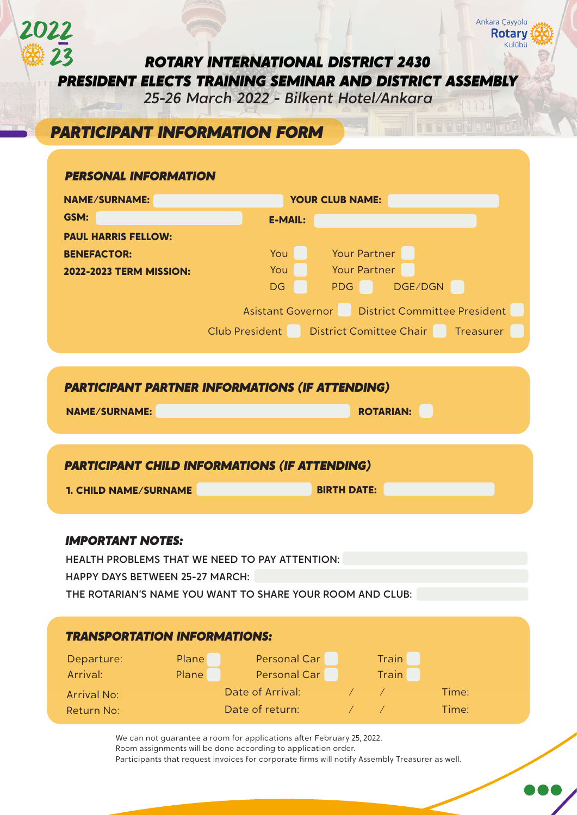*ROTARY INTERNATIONAL DISTRICT 2430 PRESIDENT ELECTS TRAINING SEMINAR AND DISTRICT ASSEMBLY*

*25-26 March 2022 - Bilkent Hotel/Ankara*

# *PARTICIPANT INFORMATION FORM*

## *PERSONAL INFORMATION*

2022

| <b>NAME/SURNAME:</b>           | <b>YOUR CLUB NAME:</b>                               |  |  |  |  |
|--------------------------------|------------------------------------------------------|--|--|--|--|
| GSM:                           | <b>E-MAIL:</b>                                       |  |  |  |  |
| <b>PAUL HARRIS FELLOW:</b>     |                                                      |  |  |  |  |
| <b>BENEFACTOR:</b>             | Your Partner<br>You                                  |  |  |  |  |
| <b>2022-2023 TERM MISSION:</b> | Your Partner<br>You                                  |  |  |  |  |
|                                | PDG DGE/DGN<br><b>DG</b>                             |  |  |  |  |
|                                | Asistant Governor   District Committee President     |  |  |  |  |
|                                | Club President   District Comittee Chair   Treasurer |  |  |  |  |
|                                |                                                      |  |  |  |  |

# *PARTICIPANT PARTNER INFORMATIONS (IF ATTENDING)*

**ROTARIAN:** 

Ankara Çayyolu

Kulübü

**Rotary** 

# *PARTICIPANT CHILD INFORMATIONS (IF ATTENDING)* **1. CHILD NAME/SURNAME BIRTH DATE:**

## *IMPORTANT NOTES:*

HEALTH PROBLEMS THAT WE NEED TO PAY ATTENTION:

HAPPY DAYS BETWEEN 25-27 MARCH:

THE ROTARIAN'S NAME YOU WANT TO SHARE YOUR ROOM AND CLUB:

| <b>TRANSPORTATION INFORMATIONS:</b> |       |                  |  |              |       |  |
|-------------------------------------|-------|------------------|--|--------------|-------|--|
| Departure:                          | Plane | Personal Car     |  | <b>Train</b> |       |  |
| Arrival:                            | Plane | Personal Car     |  | Train        |       |  |
| <b>Arrival No:</b>                  |       | Date of Arrival: |  |              | Time: |  |
| Return No:                          |       | Date of return:  |  |              | Time: |  |

We can not guarantee a room for applications after February 25, 2022. Room assignments will be done according to application order. Participants that request invoices for corporate firms will notify Assembly Treasurer as well.